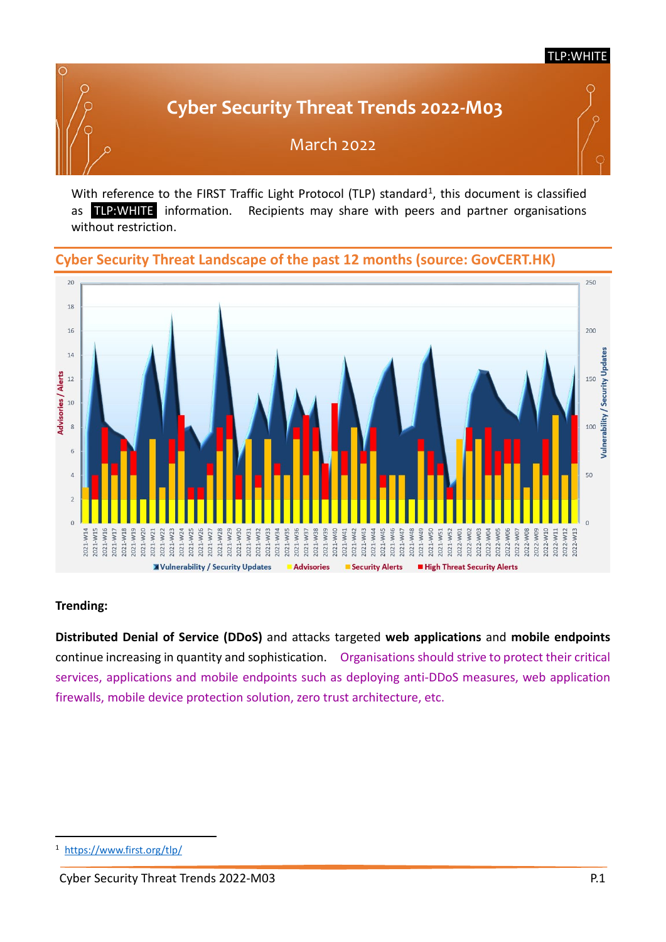#### TLP:WHITE

# **Cyber Security Threat Trends 2022-M03**



March 2022

With reference to the FIRST Traffic Light Protocol (TLP) standard<sup>[1](#page-0-0)</sup>, this document is classified as TLP:WHITE information. Recipients may share with peers and partner organisations without restriction.

### **Cyber Security Threat Landscape of the past 12 months (source: GovCERT.HK)**



#### **Trending:**

**Distributed Denial of Service (DDoS)** and attacks targeted **web applications** and **mobile endpoints**  continue increasing in quantity and sophistication. Organisations should strive to protect their critical services, applications and mobile endpoints such as deploying anti-DDoS measures, web application firewalls, mobile device protection solution, zero trust architecture, etc.

<span id="page-0-0"></span><https://www.first.org/tlp/>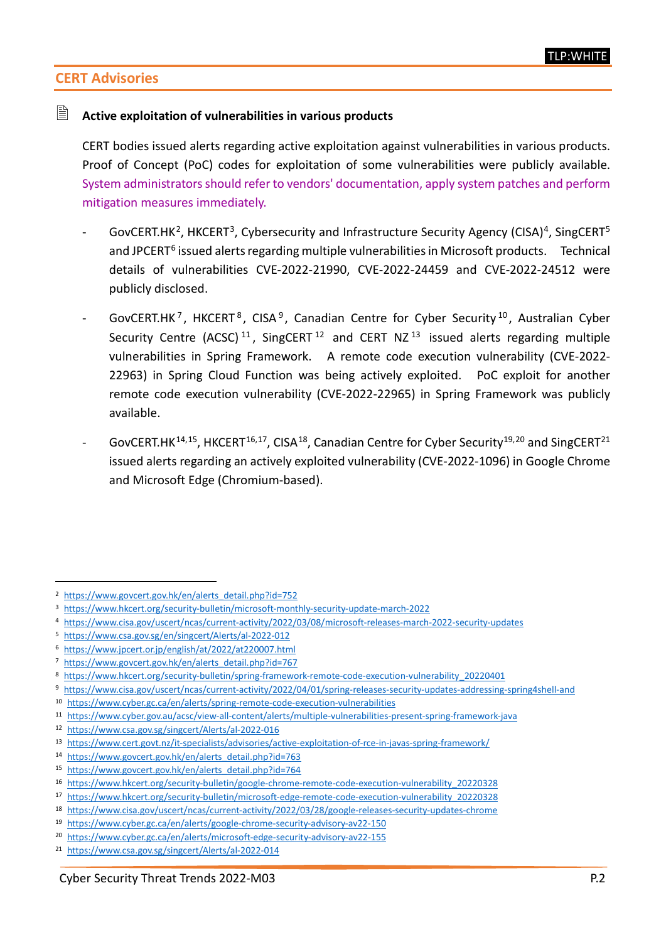# **CERT Advisories**

#### **Active exploitation of vulnerabilities in various products**

CERT bodies issued alerts regarding active exploitation against vulnerabilities in various products. Proof of Concept (PoC) codes for exploitation of some vulnerabilities were publicly available. System administrators should refer to vendors' documentation, apply system patches and perform mitigation measures immediately.

- GovCERT.HK<sup>2</sup>, HKCERT<sup>3</sup>, Cybersecurity and Infrastructure Security Agency (CISA)<sup>4</sup>, SingCERT<sup>[5](#page-1-3)</sup> and JPCERT<sup>[6](#page-1-4)</sup> issued alerts regarding multiple vulnerabilities in Microsoft products. Technical details of vulnerabilities CVE-2022-21990, CVE-2022-24459 and CVE-2022-24512 were publicly disclosed.
- GovCERT.HK<sup>[7](#page-1-5)</sup>, HKCERT<sup>[8](#page-1-6)</sup>, CISA<sup>[9](#page-1-7)</sup>, Canadian Centre for Cyber Security<sup>[10](#page-1-8)</sup>, Australian Cyber Security Centre (ACSC)<sup>[11](#page-1-9)</sup>, SingCERT<sup>[12](#page-1-10)</sup> and CERT NZ<sup>[13](#page-1-11)</sup> issued alerts regarding multiple vulnerabilities in Spring Framework. A remote code execution vulnerability (CVE-2022- 22963) in Spring Cloud Function was being actively exploited. PoC exploit for another remote code execution vulnerability (CVE-2022-22965) in Spring Framework was publicly available.
- GovCERT.HK<sup>[14,](#page-1-12)[15](#page-1-13)</sup>, HKCERT<sup>[16](#page-1-14),17</sup>, CISA<sup>18</sup>, Canadian Centre for Cyber Security<sup>19,[20](#page-1-18)</sup> and SingCERT<sup>21</sup> issued alerts regarding an actively exploited vulnerability (CVE-2022-1096) in Google Chrome and Microsoft Edge (Chromium-based).

<span id="page-1-0"></span> <sup>2</sup> [https://www.govcert.gov.hk/en/alerts\\_detail.php?id=752](https://www.govcert.gov.hk/en/alerts_detail.php?id=752)

<span id="page-1-1"></span><sup>3</sup> <https://www.hkcert.org/security-bulletin/microsoft-monthly-security-update-march-2022>

<span id="page-1-2"></span><sup>4</sup> <https://www.cisa.gov/uscert/ncas/current-activity/2022/03/08/microsoft-releases-march-2022-security-updates>

<span id="page-1-3"></span><sup>5</sup> <https://www.csa.gov.sg/en/singcert/Alerts/al-2022-012>

<span id="page-1-4"></span><sup>6</sup> <https://www.jpcert.or.jp/english/at/2022/at220007.html>

<span id="page-1-5"></span><sup>7</sup> [https://www.govcert.gov.hk/en/alerts\\_detail.php?id=767](https://www.govcert.gov.hk/en/alerts_detail.php?id=767)

<span id="page-1-6"></span><sup>8</sup> [https://www.hkcert.org/security-bulletin/spring-framework-remote-code-execution-vulnerability\\_20220401](https://www.hkcert.org/security-bulletin/spring-framework-remote-code-execution-vulnerability_20220401)

<span id="page-1-7"></span><sup>9</sup> <https://www.cisa.gov/uscert/ncas/current-activity/2022/04/01/spring-releases-security-updates-addressing-spring4shell-and>

<span id="page-1-8"></span><sup>10</sup> <https://www.cyber.gc.ca/en/alerts/spring-remote-code-execution-vulnerabilities>

<span id="page-1-9"></span><sup>11</sup> <https://www.cyber.gov.au/acsc/view-all-content/alerts/multiple-vulnerabilities-present-spring-framework-java>

<span id="page-1-10"></span><sup>12</sup> <https://www.csa.gov.sg/singcert/Alerts/al-2022-016>

<span id="page-1-11"></span><sup>13</sup> <https://www.cert.govt.nz/it-specialists/advisories/active-exploitation-of-rce-in-javas-spring-framework/>

<span id="page-1-12"></span><sup>14</sup> [https://www.govcert.gov.hk/en/alerts\\_detail.php?id=763](https://www.govcert.gov.hk/en/alerts_detail.php?id=763)

<span id="page-1-13"></span><sup>15</sup> [https://www.govcert.gov.hk/en/alerts\\_detail.php?id=764](https://www.govcert.gov.hk/en/alerts_detail.php?id=764)

<span id="page-1-14"></span><sup>16</sup> [https://www.hkcert.org/security-bulletin/google-chrome-remote-code-execution-vulnerability\\_20220328](https://www.hkcert.org/security-bulletin/google-chrome-remote-code-execution-vulnerability_20220328)

<span id="page-1-15"></span><sup>17</sup> [https://www.hkcert.org/security-bulletin/microsoft-edge-remote-code-execution-vulnerability\\_20220328](https://www.hkcert.org/security-bulletin/microsoft-edge-remote-code-execution-vulnerability_20220328)

<span id="page-1-16"></span><sup>18</sup> <https://www.cisa.gov/uscert/ncas/current-activity/2022/03/28/google-releases-security-updates-chrome>

<span id="page-1-17"></span><sup>19</sup> <https://www.cyber.gc.ca/en/alerts/google-chrome-security-advisory-av22-150>

<span id="page-1-18"></span><sup>20</sup> <https://www.cyber.gc.ca/en/alerts/microsoft-edge-security-advisory-av22-155>

<span id="page-1-19"></span><sup>21</sup> <https://www.csa.gov.sg/singcert/Alerts/al-2022-014>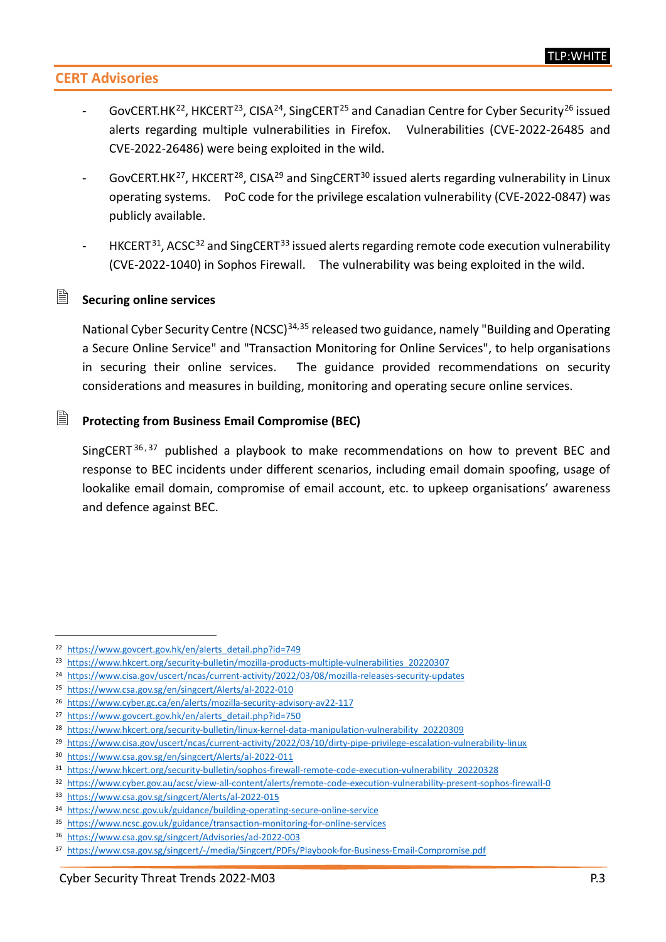# **CERT Advisories**

- GovCERT.HK<sup>22</sup>, HKCERT<sup>[23](#page-2-1)</sup>, CISA<sup>[24](#page-2-2)</sup>, SingCERT<sup>[25](#page-2-3)</sup> and Canadian Centre for Cyber Security<sup>[26](#page-2-4)</sup> issued alerts regarding multiple vulnerabilities in Firefox. Vulnerabilities (CVE-2022-26485 and CVE-2022-26486) were being exploited in the wild.
- GovCERT.HK<sup>27</sup>, HKCERT<sup>28</sup>, CISA<sup>[29](#page-2-7)</sup> and SingCERT<sup>[30](#page-2-8)</sup> issued alerts regarding vulnerability in Linux operating systems. PoC code for the privilege escalation vulnerability (CVE-2022-0847) was publicly available.
- $HKCERT<sup>31</sup>$  $HKCERT<sup>31</sup>$  $HKCERT<sup>31</sup>$ , ACSC<sup>[32](#page-2-10)</sup> and SingCERT<sup>[33](#page-2-11)</sup> issued alerts regarding remote code execution vulnerability (CVE-2022-1040) in Sophos Firewall. The vulnerability was being exploited in the wild.

#### **Securing online services**

National Cyber Security Centre (NCSC)<sup>[34,](#page-2-12)[35](#page-2-13)</sup> released two guidance, namely "Building and Operating a Secure Online Service" and "Transaction Monitoring for Online Services", to help organisations in securing their online services. The guidance provided recommendations on security considerations and measures in building, monitoring and operating secure online services.

#### **Protecting from Business Email Compromise (BEC)**

SingCERT  $36, 37$  $36, 37$  $36, 37$  published a playbook to make recommendations on how to prevent BEC and response to BEC incidents under different scenarios, including email domain spoofing, usage of lookalike email domain, compromise of email account, etc. to upkeep organisations' awareness and defence against BEC.

<span id="page-2-0"></span><sup>22</sup> [https://www.govcert.gov.hk/en/alerts\\_detail.php?id=749](https://www.govcert.gov.hk/en/alerts_detail.php?id=749)

<span id="page-2-1"></span><sup>23</sup> [https://www.hkcert.org/security-bulletin/mozilla-products-multiple-vulnerabilities\\_20220307](https://www.hkcert.org/security-bulletin/mozilla-products-multiple-vulnerabilities_20220307)

<span id="page-2-2"></span><sup>24</sup> <https://www.cisa.gov/uscert/ncas/current-activity/2022/03/08/mozilla-releases-security-updates>

<span id="page-2-3"></span><sup>25</sup> <https://www.csa.gov.sg/en/singcert/Alerts/al-2022-010>

<span id="page-2-4"></span><sup>26</sup> <https://www.cyber.gc.ca/en/alerts/mozilla-security-advisory-av22-117>

<span id="page-2-5"></span><sup>&</sup>lt;sup>27</sup> [https://www.govcert.gov.hk/en/alerts\\_detail.php?id=750](https://www.govcert.gov.hk/en/alerts_detail.php?id=750)

<span id="page-2-6"></span><sup>28</sup> [https://www.hkcert.org/security-bulletin/linux-kernel-data-manipulation-vulnerability\\_20220309](https://www.hkcert.org/security-bulletin/linux-kernel-data-manipulation-vulnerability_20220309)

<span id="page-2-7"></span><sup>29</sup> <https://www.cisa.gov/uscert/ncas/current-activity/2022/03/10/dirty-pipe-privilege-escalation-vulnerability-linux>

<span id="page-2-8"></span><sup>30</sup> <https://www.csa.gov.sg/en/singcert/Alerts/al-2022-011>

<span id="page-2-9"></span><sup>31</sup> [https://www.hkcert.org/security-bulletin/sophos-firewall-remote-code-execution-vulnerability\\_20220328](https://www.hkcert.org/security-bulletin/sophos-firewall-remote-code-execution-vulnerability_20220328)

<span id="page-2-10"></span><sup>32</sup> <https://www.cyber.gov.au/acsc/view-all-content/alerts/remote-code-execution-vulnerability-present-sophos-firewall-0>

<span id="page-2-11"></span><sup>33</sup> <https://www.csa.gov.sg/singcert/Alerts/al-2022-015>

<span id="page-2-12"></span><sup>34</sup> <https://www.ncsc.gov.uk/guidance/building-operating-secure-online-service>

<span id="page-2-13"></span><sup>35</sup> <https://www.ncsc.gov.uk/guidance/transaction-monitoring-for-online-services>

<span id="page-2-14"></span><sup>36</sup> <https://www.csa.gov.sg/singcert/Advisories/ad-2022-003>

<span id="page-2-15"></span><sup>37</sup> <https://www.csa.gov.sg/singcert/-/media/Singcert/PDFs/Playbook-for-Business-Email-Compromise.pdf>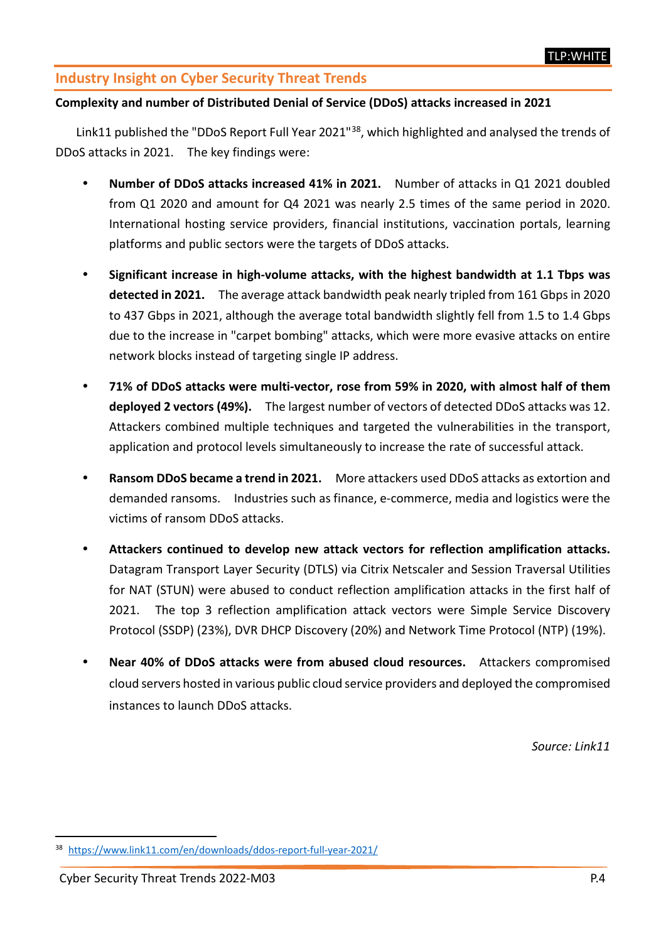# **Industry Insight on Cyber Security Threat Trends**

#### **Complexity and number of Distributed Denial of Service (DDoS) attacks increased in 2021**

Link11 published the "DDoS Report Full Year 2021"<sup>38</sup>, which highlighted and analysed the trends of DDoS attacks in 2021. The key findings were:

- **Number of DDoS attacks increased 41% in 2021.** Number of attacks in Q1 2021 doubled from Q1 2020 and amount for Q4 2021 was nearly 2.5 times of the same period in 2020. International hosting service providers, financial institutions, vaccination portals, learning platforms and public sectors were the targets of DDoS attacks.
- **Significant increase in high-volume attacks, with the highest bandwidth at 1.1 Tbps was detected in 2021.** The average attack bandwidth peak nearly tripled from 161 Gbps in 2020 to 437 Gbps in 2021, although the average total bandwidth slightly fell from 1.5 to 1.4 Gbps due to the increase in "carpet bombing" attacks, which were more evasive attacks on entire network blocks instead of targeting single IP address.
- **71% of DDoS attacks were multi-vector, rose from 59% in 2020, with almost half of them deployed 2 vectors (49%).** The largest number of vectors of detected DDoS attacks was 12. Attackers combined multiple techniques and targeted the vulnerabilities in the transport, application and protocol levels simultaneously to increase the rate of successful attack.
- **Ransom DDoS became a trend in 2021.** More attackers used DDoS attacks as extortion and demanded ransoms.Industries such as finance, e-commerce, media and logistics were the victims of ransom DDoS attacks.
- **Attackers continued to develop new attack vectors for reflection amplification attacks.**  Datagram Transport Layer Security (DTLS) via Citrix Netscaler and Session Traversal Utilities for NAT (STUN) were abused to conduct reflection amplification attacks in the first half of 2021. The top 3 reflection amplification attack vectors were Simple Service Discovery Protocol (SSDP) (23%), DVR DHCP Discovery (20%) and Network Time Protocol (NTP) (19%).
- **Near 40% of DDoS attacks were from abused cloud resources.** Attackers compromised cloud servers hosted in various public cloud service providers and deployed the compromised instances to launch DDoS attacks.

*Source: Link11*

<span id="page-3-0"></span><https://www.link11.com/en/downloads/ddos-report-full-year-2021/>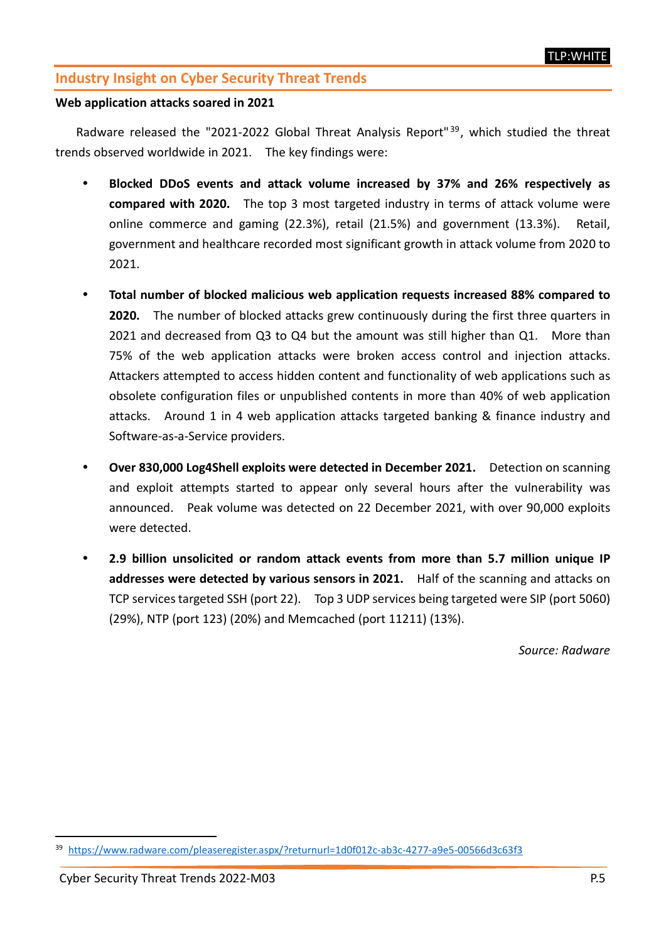## **Industry Insight on Cyber Security Threat Trends**

#### **Web application attacks soared in 2021**

Radware released the "2021-2022 Global Threat Analysis Report"<sup>[39](#page-4-0)</sup>, which studied the threat trends observed worldwide in 2021. The key findings were:

- **Blocked DDoS events and attack volume increased by 37% and 26% respectively as compared with 2020.** The top 3 most targeted industry in terms of attack volume were online commerce and gaming (22.3%), retail (21.5%) and government (13.3%). Retail, government and healthcare recorded most significant growth in attack volume from 2020 to 2021.
- **Total number of blocked malicious web application requests increased 88% compared to 2020.** The number of blocked attacks grew continuously during the first three quarters in 2021 and decreased from Q3 to Q4 but the amount was still higher than Q1. More than 75% of the web application attacks were broken access control and injection attacks. Attackers attempted to access hidden content and functionality of web applications such as obsolete configuration files or unpublished contents in more than 40% of web application attacks. Around 1 in 4 web application attacks targeted banking & finance industry and Software-as-a-Service providers.
- **Over 830,000 Log4Shell exploits were detected in December 2021.** Detection on scanning and exploit attempts started to appear only several hours after the vulnerability was announced. Peak volume was detected on 22 December 2021, with over 90,000 exploits were detected.
- **2.9 billion unsolicited or random attack events from more than 5.7 million unique IP addresses were detected by various sensors in 2021.** Half of the scanning and attacks on TCP services targeted SSH (port 22). Top 3 UDP services being targeted were SIP (port 5060) (29%), NTP (port 123) (20%) and Memcached (port 11211) (13%).

*Source: Radware*

<span id="page-4-0"></span> <sup>39</sup> <https://www.radware.com/pleaseregister.aspx/?returnurl=1d0f012c-ab3c-4277-a9e5-00566d3c63f3>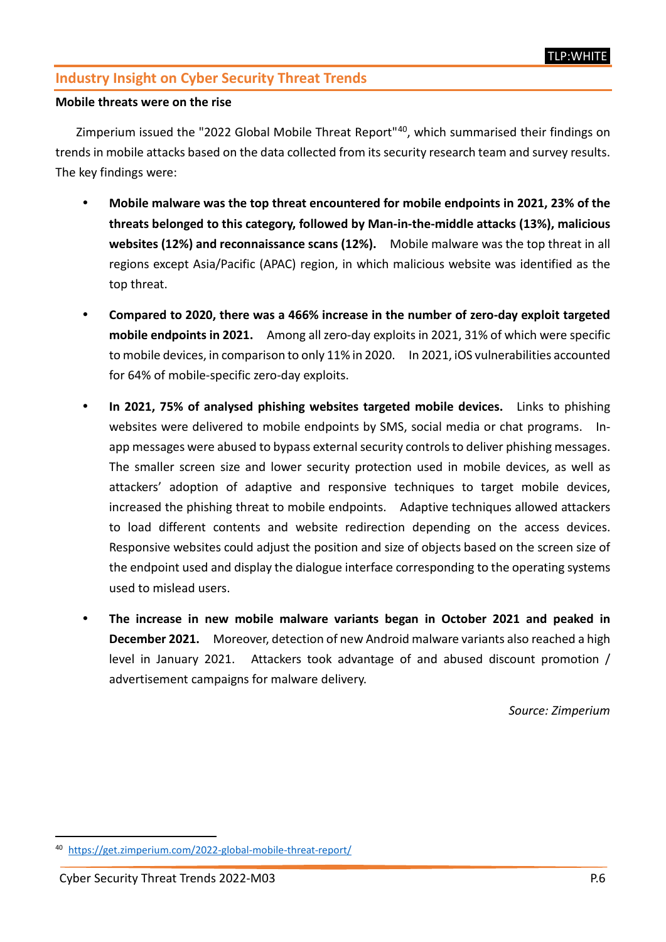### **Industry Insight on Cyber Security Threat Trends**

#### **Mobile threats were on the rise**

Zimperium issued the "2022 Global Mobile Threat Report"[40](#page-5-0), which summarised their findings on trends in mobile attacks based on the data collected from its security research team and survey results. The key findings were:

- **Mobile malware was the top threat encountered for mobile endpoints in 2021, 23% of the threats belonged to this category, followed by Man-in-the-middle attacks (13%), malicious websites (12%) and reconnaissance scans (12%).** Mobile malware was the top threat in all regions except Asia/Pacific (APAC) region, in which malicious website was identified as the top threat.
- **Compared to 2020, there was a 466% increase in the number of zero-day exploit targeted mobile endpoints in 2021.** Among all zero-day exploits in 2021, 31% of which were specific to mobile devices, in comparison to only 11% in 2020. In 2021, iOS vulnerabilities accounted for 64% of mobile-specific zero-day exploits.
- **In 2021, 75% of analysed phishing websites targeted mobile devices.** Links to phishing websites were delivered to mobile endpoints by SMS, social media or chat programs. Inapp messages were abused to bypass external security controlsto deliver phishing messages. The smaller screen size and lower security protection used in mobile devices, as well as attackers' adoption of adaptive and responsive techniques to target mobile devices, increased the phishing threat to mobile endpoints. Adaptive techniques allowed attackers to load different contents and website redirection depending on the access devices. Responsive websites could adjust the position and size of objects based on the screen size of the endpoint used and display the dialogue interface corresponding to the operating systems used to mislead users.
- **The increase in new mobile malware variants began in October 2021 and peaked in December 2021.** Moreover, detection of new Android malware variants also reached a high level in January 2021. Attackers took advantage of and abused discount promotion / advertisement campaigns for malware delivery.

*Source: Zimperium*

<span id="page-5-0"></span><https://get.zimperium.com/2022-global-mobile-threat-report/>